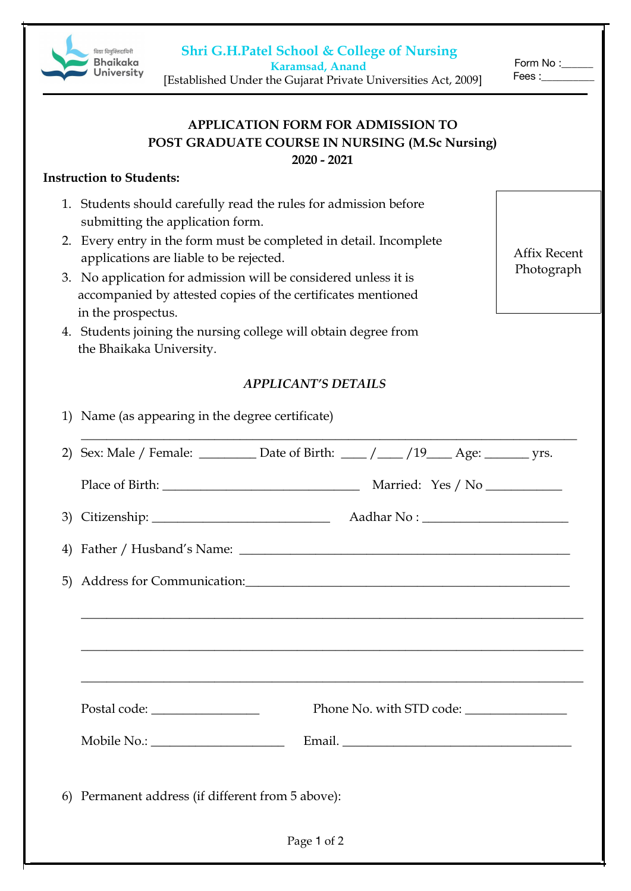**Shri G.H.Patel School & College of Nursing**



 **Karamsad, Anand** [Established Under the Gujarat Private Universities Act, 2009] Form No: Fees :\_\_\_\_\_\_\_\_\_\_

Affix Recent Photograph

# **APPLICATION FORM FOR ADMISSION TO POST GRADUATE COURSE IN NURSING (M.Sc Nursing)**

**2020 - 2021**

#### **Instruction to Students:**

- 1. Students should carefully read the rules for admission before submitting the application form.
- 2. Every entry in the form must be completed in detail. Incomplete applications are liable to be rejected.
- 3. No application for admission will be considered unless it is accompanied by attested copies of the certificates mentioned in the prospectus.
- 4. Students joining the nursing college will obtain degree from the Bhaikaka University.

### *APPLICANT'S DETAILS*

| 1) Name (as appearing in the degree certificate)                                      |  |  |  |  |  |
|---------------------------------------------------------------------------------------|--|--|--|--|--|
| 2) Sex: Male / Female: _________ Date of Birth: ____ / ____ /19____ Age: _______ yrs. |  |  |  |  |  |
|                                                                                       |  |  |  |  |  |
|                                                                                       |  |  |  |  |  |
|                                                                                       |  |  |  |  |  |
| 5) Address for Communication:                                                         |  |  |  |  |  |
|                                                                                       |  |  |  |  |  |
| <u> 1989 - Johann Stoff, amerikansk politik (f. 1989)</u>                             |  |  |  |  |  |
|                                                                                       |  |  |  |  |  |
|                                                                                       |  |  |  |  |  |
| Email.                                                                                |  |  |  |  |  |
| 6) Permanent address (if different from 5 above):                                     |  |  |  |  |  |
| Page 1 of 2                                                                           |  |  |  |  |  |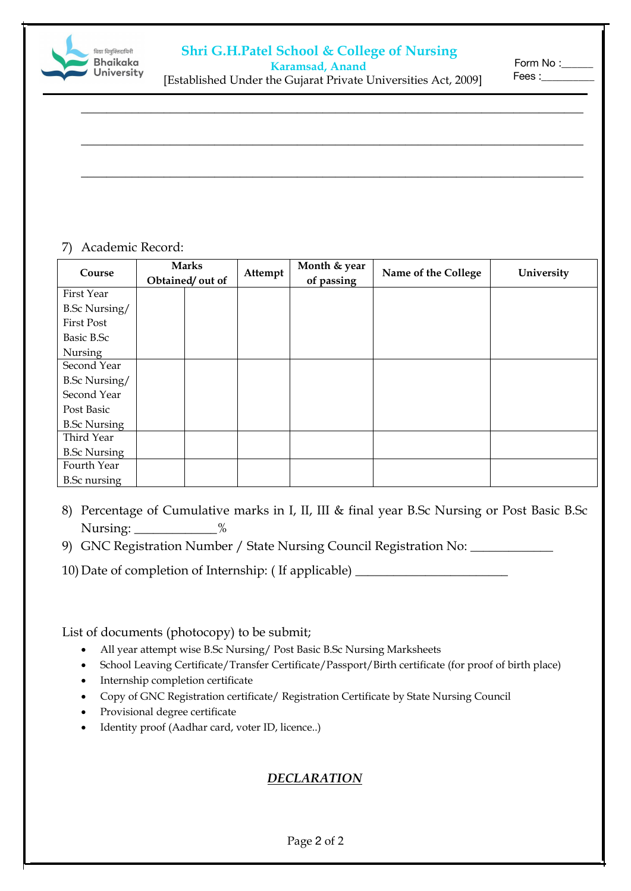### **Shri G.H.Patel School & College of Nursing**



#### **Karamsad, Anand**

Form No :\_\_\_\_ Fees :\_\_\_\_\_\_\_\_\_\_

[Established Under the Gujarat Private Universities Act, 2009]

\_\_\_\_\_\_\_\_\_\_\_\_\_\_\_\_\_\_\_\_\_\_\_\_\_\_\_\_\_\_\_\_\_\_\_\_\_\_\_\_\_\_\_\_\_\_\_\_\_\_\_\_\_\_\_\_\_\_\_\_\_\_\_\_\_\_\_\_\_\_\_\_\_\_\_\_\_\_\_

\_\_\_\_\_\_\_\_\_\_\_\_\_\_\_\_\_\_\_\_\_\_\_\_\_\_\_\_\_\_\_\_\_\_\_\_\_\_\_\_\_\_\_\_\_\_\_\_\_\_\_\_\_\_\_\_\_\_\_\_\_\_\_\_\_\_\_\_\_\_\_\_\_\_\_\_\_\_\_

\_\_\_\_\_\_\_\_\_\_\_\_\_\_\_\_\_\_\_\_\_\_\_\_\_\_\_\_\_\_\_\_\_\_\_\_\_\_\_\_\_\_\_\_\_\_\_\_\_\_\_\_\_\_\_\_\_\_\_\_\_\_\_\_\_\_\_\_\_\_\_\_\_\_\_\_\_\_\_

#### 7) Academic Record:

| Course               | <b>Marks</b>     | Attempt | Month & year | Name of the College | University |
|----------------------|------------------|---------|--------------|---------------------|------------|
|                      | Obtained/ out of |         | of passing   |                     |            |
| First Year           |                  |         |              |                     |            |
| <b>B.Sc Nursing/</b> |                  |         |              |                     |            |
| <b>First Post</b>    |                  |         |              |                     |            |
| Basic B.Sc           |                  |         |              |                     |            |
| Nursing              |                  |         |              |                     |            |
| Second Year          |                  |         |              |                     |            |
| <b>B.Sc Nursing/</b> |                  |         |              |                     |            |
| Second Year          |                  |         |              |                     |            |
| Post Basic           |                  |         |              |                     |            |
| <b>B.Sc Nursing</b>  |                  |         |              |                     |            |
| Third Year           |                  |         |              |                     |            |
| <b>B.Sc Nursing</b>  |                  |         |              |                     |            |
| Fourth Year          |                  |         |              |                     |            |
| <b>B.Sc</b> nursing  |                  |         |              |                     |            |

- 8) Percentage of Cumulative marks in I, II, III & final year B.Sc Nursing or Post Basic B.Sc Nursing: \_\_\_\_\_\_\_\_\_\_\_\_ %
- 9) GNC Registration Number / State Nursing Council Registration No: \_\_\_\_\_\_\_\_\_\_\_\_
- 10) Date of completion of Internship: ( If applicable) \_\_\_\_\_\_\_\_\_\_\_\_\_\_\_\_\_\_\_\_\_\_\_\_

List of documents (photocopy) to be submit;

- All year attempt wise B.Sc Nursing/ Post Basic B.Sc Nursing Marksheets
- School Leaving Certificate/Transfer Certificate/Passport/Birth certificate (for proof of birth place)
- Internship completion certificate
- Copy of GNC Registration certificate/ Registration Certificate by State Nursing Council
- Provisional degree certificate
- Identity proof (Aadhar card, voter ID, licence..)

## *DECLARATION*